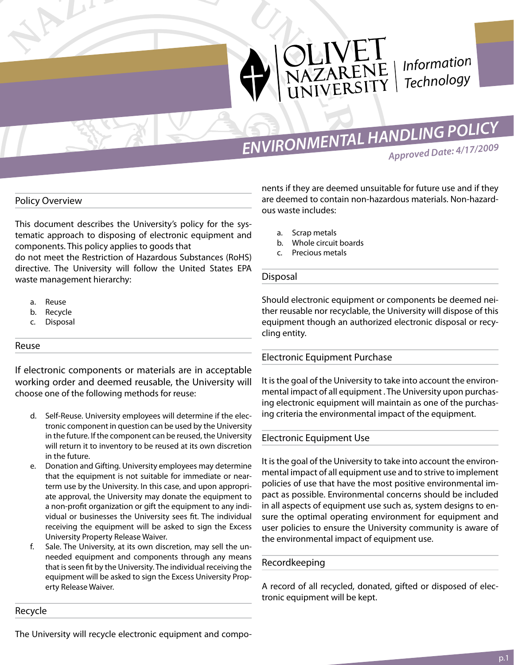

*Information THENE* Information<br>FRSITY Technology

*ENVIRONMENTAL HANDLING POLICY*

*Approved Date: 4/17/2009*

## Policy Overview

This document describes the University's policy for the systematic approach to disposing of electronic equipment and components. This policy applies to goods that

do not meet the Restriction of Hazardous Substances (RoHS) directive. The University will follow the United States EPA waste management hierarchy:

- a. Reuse
- b. Recycle
- c. Disposal

#### Reuse

If electronic components or materials are in acceptable working order and deemed reusable, the University will choose one of the following methods for reuse:

- d. Self-Reuse. University employees will determine if the electronic component in question can be used by the University in the future. If the component can be reused, the University will return it to inventory to be reused at its own discretion in the future.
- e. Donation and Gifting. University employees may determine that the equipment is not suitable for immediate or nearterm use by the University. In this case, and upon appropriate approval, the University may donate the equipment to a non-profit organization or gift the equipment to any individual or businesses the University sees fit. The individual receiving the equipment will be asked to sign the Excess University Property Release Waiver.
- f. Sale. The University, at its own discretion, may sell the unneeded equipment and components through any means that is seen fit by the University. The individual receiving the equipment will be asked to sign the Excess University Property Release Waiver.

nents if they are deemed unsuitable for future use and if they are deemed to contain non-hazardous materials. Non-hazardous waste includes:

- a. Scrap metals
- b. Whole circuit boards
- c. Precious metals

#### Disposal

Should electronic equipment or components be deemed neither reusable nor recyclable, the University will dispose of this equipment though an authorized electronic disposal or recycling entity.

#### Electronic Equipment Purchase

It is the goal of the University to take into account the environmental impact of all equipment . The University upon purchasing electronic equipment will maintain as one of the purchasing criteria the environmental impact of the equipment.

## Electronic Equipment Use

It is the goal of the University to take into account the environmental impact of all equipment use and to strive to implement policies of use that have the most positive environmental impact as possible. Environmental concerns should be included in all aspects of equipment use such as, system designs to ensure the optimal operating environment for equipment and user policies to ensure the University community is aware of the environmental impact of equipment use.

# Recordkeeping

A record of all recycled, donated, gifted or disposed of electronic equipment will be kept.

Recycle

The University will recycle electronic equipment and compo-